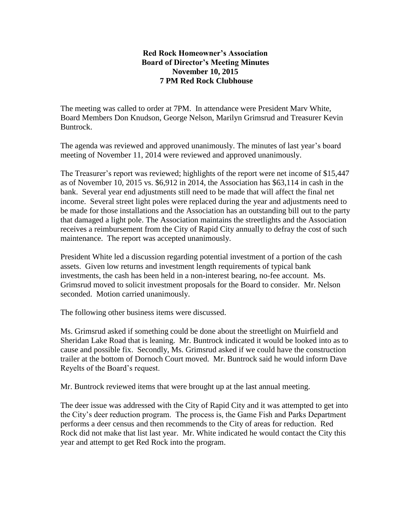## **Red Rock Homeowner's Association Board of Director's Meeting Minutes November 10, 2015 7 PM Red Rock Clubhouse**

The meeting was called to order at 7PM. In attendance were President Marv White, Board Members Don Knudson, George Nelson, Marilyn Grimsrud and Treasurer Kevin Buntrock.

The agenda was reviewed and approved unanimously. The minutes of last year's board meeting of November 11, 2014 were reviewed and approved unanimously.

The Treasurer's report was reviewed; highlights of the report were net income of \$15,447 as of November 10, 2015 vs. \$6,912 in 2014, the Association has \$63,114 in cash in the bank. Several year end adjustments still need to be made that will affect the final net income. Several street light poles were replaced during the year and adjustments need to be made for those installations and the Association has an outstanding bill out to the party that damaged a light pole. The Association maintains the streetlights and the Association receives a reimbursement from the City of Rapid City annually to defray the cost of such maintenance. The report was accepted unanimously.

President White led a discussion regarding potential investment of a portion of the cash assets. Given low returns and investment length requirements of typical bank investments, the cash has been held in a non-interest bearing, no-fee account. Ms. Grimsrud moved to solicit investment proposals for the Board to consider. Mr. Nelson seconded. Motion carried unanimously.

The following other business items were discussed.

Ms. Grimsrud asked if something could be done about the streetlight on Muirfield and Sheridan Lake Road that is leaning. Mr. Buntrock indicated it would be looked into as to cause and possible fix. Secondly, Ms. Grimsrud asked if we could have the construction trailer at the bottom of Dornoch Court moved. Mr. Buntrock said he would inform Dave Reyelts of the Board's request.

Mr. Buntrock reviewed items that were brought up at the last annual meeting.

The deer issue was addressed with the City of Rapid City and it was attempted to get into the City's deer reduction program. The process is, the Game Fish and Parks Department performs a deer census and then recommends to the City of areas for reduction. Red Rock did not make that list last year. Mr. White indicated he would contact the City this year and attempt to get Red Rock into the program.